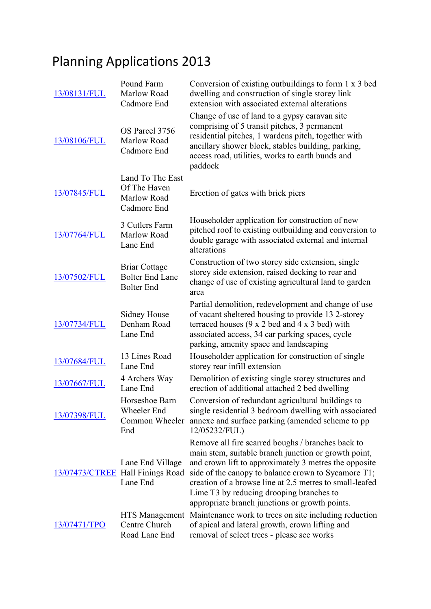## Planning Applications 2013

| 13/08131/FUL | Pound Farm<br>Marlow Road<br>Cadmore End                            | Conversion of existing outbuildings to form 1 x 3 bed<br>dwelling and construction of single storey link<br>extension with associated external alterations                                                                                                                                                                                                                         |
|--------------|---------------------------------------------------------------------|------------------------------------------------------------------------------------------------------------------------------------------------------------------------------------------------------------------------------------------------------------------------------------------------------------------------------------------------------------------------------------|
| 13/08106/FUL | OS Parcel 3756<br>Marlow Road<br>Cadmore End                        | Change of use of land to a gypsy caravan site<br>comprising of 5 transit pitches, 3 permanent<br>residential pitches, 1 wardens pitch, together with<br>ancillary shower block, stables building, parking,<br>access road, utilities, works to earth bunds and<br>paddock                                                                                                          |
| 13/07845/FUL | Land To The East<br>Of The Haven<br>Marlow Road<br>Cadmore End      | Erection of gates with brick piers                                                                                                                                                                                                                                                                                                                                                 |
| 13/07764/FUL | 3 Cutlers Farm<br>Marlow Road<br>Lane End                           | Householder application for construction of new<br>pitched roof to existing outbuilding and conversion to<br>double garage with associated external and internal<br>alterations                                                                                                                                                                                                    |
| 13/07502/FUL | <b>Briar Cottage</b><br><b>Bolter End Lane</b><br><b>Bolter End</b> | Construction of two storey side extension, single<br>storey side extension, raised decking to rear and<br>change of use of existing agricultural land to garden<br>area                                                                                                                                                                                                            |
| 13/07734/FUL | Sidney House<br>Denham Road<br>Lane End                             | Partial demolition, redevelopment and change of use<br>of vacant sheltered housing to provide 13 2-storey<br>terraced houses $(9 \times 2 \text{ bed and } 4 \times 3 \text{ bed})$ with<br>associated access, 34 car parking spaces, cycle<br>parking, amenity space and landscaping                                                                                              |
| 13/07684/FUL | 13 Lines Road<br>Lane End                                           | Householder application for construction of single<br>storey rear infill extension                                                                                                                                                                                                                                                                                                 |
| 13/07667/FUL | 4 Archers Way<br>Lane End                                           | Demolition of existing single storey structures and<br>erection of additional attached 2 bed dwelling                                                                                                                                                                                                                                                                              |
| 13/07398/FUL | Horseshoe Barn<br>Wheeler End<br>Common Wheeler<br>End              | Conversion of redundant agricultural buildings to<br>single residential 3 bedroom dwelling with associated<br>annexe and surface parking (amended scheme to pp)<br>12/05232/FUL)                                                                                                                                                                                                   |
|              | Lane End Village<br>13/07473/CTREE Hall Finings Road<br>Lane End    | Remove all fire scarred boughs / branches back to<br>main stem, suitable branch junction or growth point,<br>and crown lift to approximately 3 metres the opposite<br>side of the canopy to balance crown to Sycamore T1;<br>creation of a browse line at 2.5 metres to small-leafed<br>Lime T3 by reducing drooping branches to<br>appropriate branch junctions or growth points. |
| 13/07471/TPO | Centre Church<br>Road Lane End                                      | HTS Management Maintenance work to trees on site including reduction<br>of apical and lateral growth, crown lifting and<br>removal of select trees - please see works                                                                                                                                                                                                              |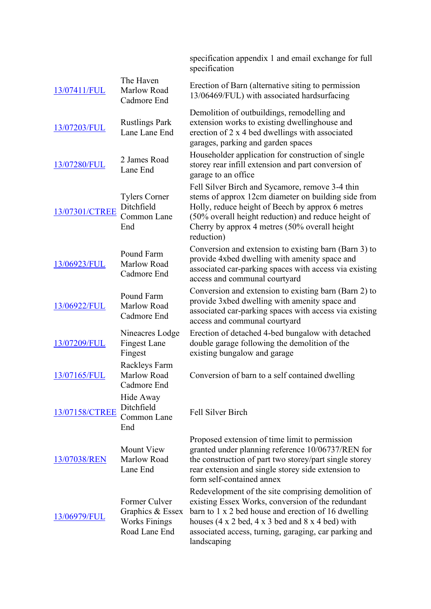|                     |                                                                            | specification appendix 1 and email exchange for full<br>specification                                                                                                                                                                                                                                                                  |
|---------------------|----------------------------------------------------------------------------|----------------------------------------------------------------------------------------------------------------------------------------------------------------------------------------------------------------------------------------------------------------------------------------------------------------------------------------|
| 13/07411/FUL        | The Haven<br>Marlow Road<br>Cadmore End                                    | Erection of Barn (alternative siting to permission<br>13/06469/FUL) with associated hardsurfacing                                                                                                                                                                                                                                      |
| 13/07203/FUL        | <b>Rustlings Park</b><br>Lane Lane End                                     | Demolition of outbuildings, remodelling and<br>extension works to existing dwellinghouse and<br>erection of 2 x 4 bed dwellings with associated<br>garages, parking and garden spaces                                                                                                                                                  |
| 13/07280/FUL        | 2 James Road<br>Lane End                                                   | Householder application for construction of single<br>storey rear infill extension and part conversion of<br>garage to an office                                                                                                                                                                                                       |
| 13/07301/CTREE      | <b>Tylers Corner</b><br>Ditchfield<br>Common Lane<br>End                   | Fell Silver Birch and Sycamore, remove 3-4 thin<br>stems of approx 12cm diameter on building side from<br>Holly, reduce height of Beech by approx 6 metres<br>(50% overall height reduction) and reduce height of<br>Cherry by approx 4 metres (50% overall height<br>reduction)                                                       |
| 13/06923/FUL        | Pound Farm<br>Marlow Road<br>Cadmore End                                   | Conversion and extension to existing barn (Barn 3) to<br>provide 4xbed dwelling with amenity space and<br>associated car-parking spaces with access via existing<br>access and communal courtyard                                                                                                                                      |
| 13/06922/FUL        | Pound Farm<br>Marlow Road<br>Cadmore End                                   | Conversion and extension to existing barn (Barn 2) to<br>provide 3xbed dwelling with amenity space and<br>associated car-parking spaces with access via existing<br>access and communal courtyard                                                                                                                                      |
| 13/07209/FUL        | Nineacres Lodge<br><b>Fingest Lane</b><br>Fingest                          | Erection of detached 4-bed bungalow with detached<br>double garage following the demolition of the<br>existing bungalow and garage                                                                                                                                                                                                     |
| 13/07165/FUL        | Rackleys Farm<br>Marlow Road<br>Cadmore End                                | Conversion of barn to a self contained dwelling                                                                                                                                                                                                                                                                                        |
| 13/07158/CTREE      | Hide Away<br>Ditchfield<br>Common Lane<br>End                              | Fell Silver Birch                                                                                                                                                                                                                                                                                                                      |
| <u>13/07038/REN</u> | Mount View<br>Marlow Road<br>Lane End                                      | Proposed extension of time limit to permission<br>granted under planning reference 10/06737/REN for<br>the construction of part two storey/part single storey<br>rear extension and single storey side extension to<br>form self-contained annex                                                                                       |
| 13/06979/FUL        | Former Culver<br>Graphics & Essex<br><b>Works Finings</b><br>Road Lane End | Redevelopment of the site comprising demolition of<br>existing Essex Works, conversion of the redundant<br>barn to 1 x 2 bed house and erection of 16 dwelling<br>houses $(4 \times 2 \text{ bed}, 4 \times 3 \text{ bed}$ and $8 \times 4 \text{ bed}$ ) with<br>associated access, turning, garaging, car parking and<br>landscaping |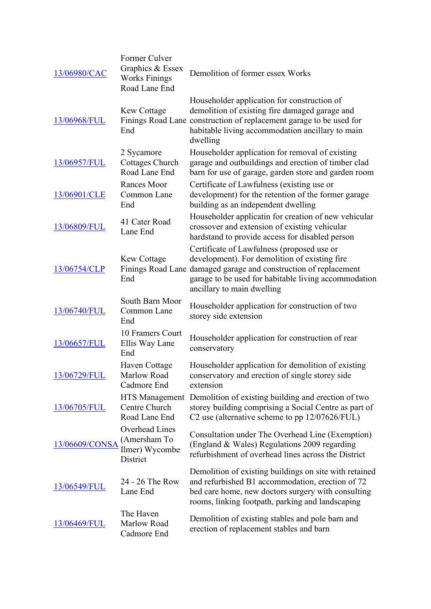| 13/06980/CAC   | Former Culver<br>Graphics & Essex<br><b>Works Finings</b><br>Road Lane End | Demolition of former essex Works                                                                                                                                                                                                                      |
|----------------|----------------------------------------------------------------------------|-------------------------------------------------------------------------------------------------------------------------------------------------------------------------------------------------------------------------------------------------------|
| 13/06968/FUL   | <b>Kew Cottage</b><br>End                                                  | Householder application for construction of<br>demolition of existing fire damaged garage and<br>Finings Road Lane construction of replacement garage to be used for<br>habitable living accommodation ancillary to main<br>dwelling                  |
| 13/06957/FUL   | 2 Sycamore<br>Cottages Church<br>Road Lane End                             | Householder application for removal of existing<br>garage and outbuildings and erection of timber clad<br>barn for use of garage, garden store and garden room                                                                                        |
| 13/06901/CLE   | Rances Moor<br>Common Lane<br>End                                          | Certificate of Lawfulness (existing use or<br>development) for the retention of the former garage<br>building as an independent dwelling                                                                                                              |
| 13/06809/FUL   | 41 Cater Road<br>Lane End                                                  | Householder applicatin for creation of new vehicular<br>crossover and extension of existing vehicular<br>hardstand to provide access for disabled person                                                                                              |
| 13/06754/CLP   | <b>Kew Cottage</b><br>End                                                  | Certificate of Lawfulness (proposed use or<br>development). For demolition of existing fire<br>Finings Road Lane damaged garage and construction of replacement<br>garage to be used for habitable living accommodation<br>ancillary to main dwelling |
| 13/06740/FUL   | South Barn Moor<br>Common Lane<br>End                                      | Householder application for construction of two<br>storey side extension                                                                                                                                                                              |
| 13/06657/FUL   | 10 Framers Court<br>Ellis Way Lane<br>End                                  | Householder application for construction of rear<br>conservatory                                                                                                                                                                                      |
| 13/06729/FUL   | Haven Cottage<br>Marlow Road<br>Cadmore End                                | Householder application for demolition of existing<br>conservatory and erection of single storey side<br>extension                                                                                                                                    |
| 13/06705/FUL   | HTS Management<br>Centre Church<br>Road Lane End                           | Demolition of existing building and erection of two<br>storey building comprising a Social Centre as part of<br>C2 use (alternative scheme to pp 12/07626/FUL)                                                                                        |
| 13/06609/CONSA | <b>Overhead Lines</b><br>(Amersham To<br>Ilmer) Wycombe<br>District        | Consultation under The Overhead Line (Exemption)<br>(England & Wales) Regulations 2009 regarding<br>refurbishment of overhead lines across the District                                                                                               |
| 13/06549/FUL   | 24 - 26 The Row<br>Lane End                                                | Demolition of existing buildings on site with retained<br>and refurbished B1 accommodation, erection of 72<br>bed care home, new doctors surgery with consulting<br>rooms, linking footpath, parking and landscaping                                  |
| 13/06469/FUL   | The Haven<br>Marlow Road<br>Cadmore End                                    | Demolition of existing stables and pole barn and<br>erection of replacement stables and barn                                                                                                                                                          |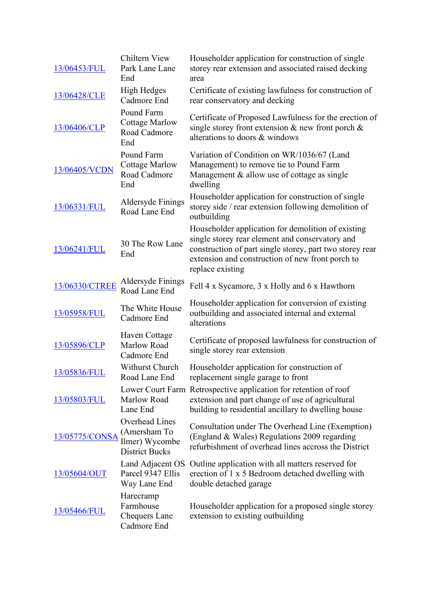| 13/06453/FUL   | Chiltern View<br>Park Lane Lane<br>End                                           | Householder application for construction of single<br>storey rear extension and associated raised decking<br>area                                                                                                                         |
|----------------|----------------------------------------------------------------------------------|-------------------------------------------------------------------------------------------------------------------------------------------------------------------------------------------------------------------------------------------|
| 13/06428/CLE   | <b>High Hedges</b><br>Cadmore End                                                | Certificate of existing lawfulness for construction of<br>rear conservatory and decking                                                                                                                                                   |
| 13/06406/CLP   | Pound Farm<br><b>Cottage Marlow</b><br>Road Cadmore<br>End                       | Certificate of Proposed Lawfulness for the erection of<br>single storey front extension $\&$ new front porch $\&$<br>alterations to doors & windows                                                                                       |
| 13/06405/VCDN  | Pound Farm<br><b>Cottage Marlow</b><br>Road Cadmore<br>End                       | Variation of Condition on WR/1036/67 (Land<br>Management) to remove tie to Pound Farm<br>Management & allow use of cottage as single<br>dwelling                                                                                          |
| 13/06331/FUL   | Aldersyde Finings<br>Road Lane End                                               | Householder application for construction of single<br>storey side / rear extension following demolition of<br>outbuilding                                                                                                                 |
| 13/06241/FUL   | 30 The Row Lane<br>End                                                           | Householder application for demolition of existing<br>single storey rear element and conservatory and<br>construction of part single storey, part two storey rear<br>extension and construction of new front porch to<br>replace existing |
| 13/06330/CTREE | Aldersyde Finings<br>Road Lane End                                               | Fell 4 x Sycamore, 3 x Holly and 6 x Hawthorn                                                                                                                                                                                             |
| 13/05958/FUL   | The White House<br>Cadmore End                                                   | Householder application for conversion of existing<br>outbuilding and associated internal and external<br>alterations                                                                                                                     |
| 13/05896/CLP   | Haven Cottage<br>Marlow Road<br>Cadmore End                                      | Certificate of proposed lawfulness for construction of<br>single storey rear extension                                                                                                                                                    |
| 13/05836/FUL   | Withurst Church<br>Road Lane End                                                 | Householder application for construction of<br>replacement single garage to front                                                                                                                                                         |
| 13/05803/FUL   | Marlow Road<br>Lane End                                                          | Lower Court Farm Retrospective application for retention of roof<br>extension and part change of use of agricultural<br>building to residential ancillary to dwelling house                                                               |
| 13/05775/CONSA | <b>Overhead Lines</b><br>(Amersham To<br>Ilmer) Wycombe<br><b>District Bucks</b> | Consultation under The Overhead Line (Exemption)<br>(England & Wales) Regulations 2009 regarding<br>refurbishment of overhead lines accross the District                                                                                  |
| 13/05604/OUT   | Land Adjacent OS<br>Parcel 9347 Ellis<br>Way Lane End                            | Outline application with all matters reserved for<br>erection of 1 x 5 Bedroom detached dwelling with<br>double detached garage                                                                                                           |
| 13/05466/FUL   | Harecramp<br>Farmhouse<br>Chequers Lane<br>Cadmore End                           | Householder application for a proposed single storey<br>extension to existing outbuilding                                                                                                                                                 |